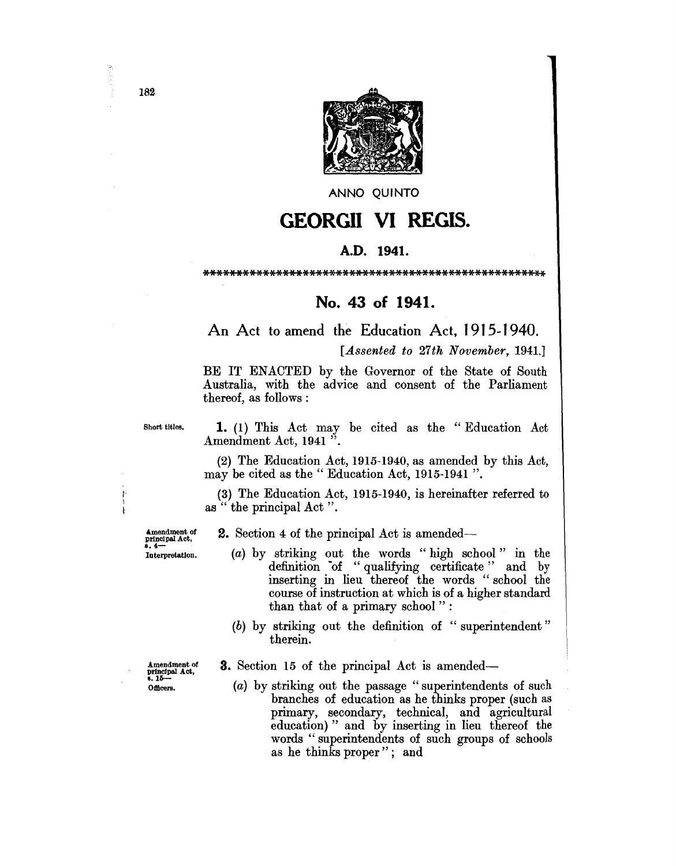

ANNO QUINTO

## **GEORGII VI REGIS.**

## A.D. **1941.**

\*\*\*\*\*\*\*\*\*\*\*\*\*\*\*\*\*\*\*\*\*\*\*\*\*\*\*\*\*\*\*\*\*\*\*\*\*\*\*\*\*\*\*\*\*\*\*\*\*\*\*\*

## **No. 43 of 1941.**

An Act to amend the Education Act, 1915~ 1940.

[*Assented to 27th November, 1941.*]

BE IT ENACTED by the Governor of the State of South Australia, with the advice and consent of the Parliament thereof, as follows:

Short titles. 1. (1) This Act may be cited as the "Education Act Amendment Act, 1941 ".

> (2) The Education Act, 1915-1940, as amended by this Act, may be cited as the" Education Act, 1915-1941 ".

 $(3)$  The Education Act, 1915-1940, is hereinafter referred to  $\sum_{k=1}^{\infty}$  as " the principal Act ".

Amendment of principal Act, 8.4- Interpretation.

2. Section 4 of the principal Act is amended-

- (a) by striking out the words "high school" in the definition of "qualifying certificate" and by inserting in lieu thereof the words "school the course of instruction at which is of a higher standard than that of a primary school" :
- (b) by striking out the definition of "superintendent" therein.

3. Section 15 of the principal Act is amended-

(a) by striking out the passage "superintendents of such branches of education as he thinks proper (such as primary, secondary, technical, and agricultural education) " and by inserting in lieu thereof the words "superintendents of such groups of schools as he thinks proper"; and

182

医心脏

Amendment of principal Act. 6.15- Officers.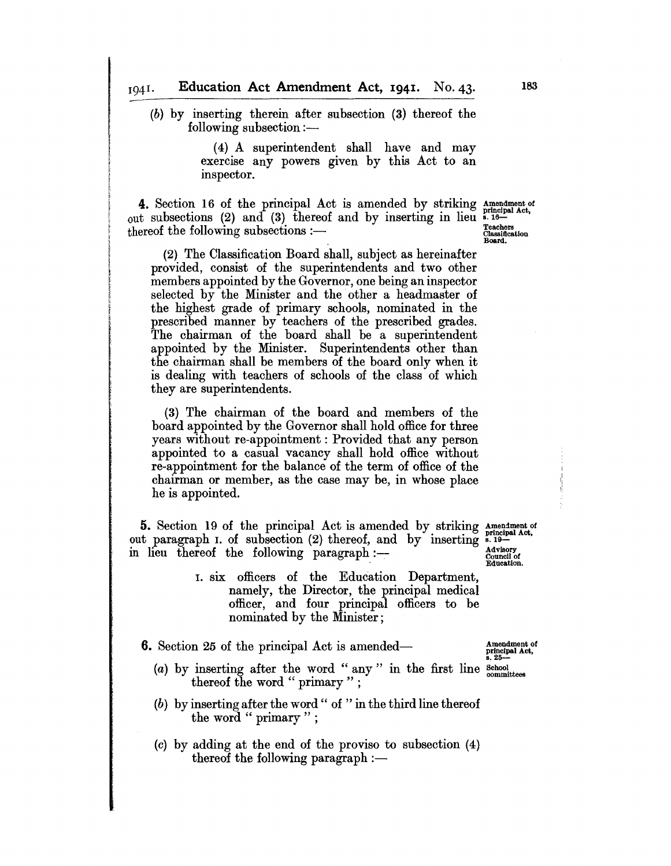(b) by inserting therein after subsection (3) thereof the following subsection:-

> (4) A superintendent shall have and may exercise any powers given by this Act to an inspector.

**4.** Section 16 of the principal Act is amended by striking Amendment of out subsections (2) and (3) thereof and by inserting in lieu  $\frac{1}{6}$ . Teachers thereof the following subsections :—  $\frac{1}{6}$ 

(2) The Classification Board shall, subject as hereinafter provided, consist of the superintendents and two other members appointed by the Governor, one being an inspector selected by the Minister and the other a headmaster of the highest grade of primary schools, nominated in the prescribed manner by teachers of the prescribed grades. The chairman of the board shall be a superintendent appointed by the Minister. Superintendents other than the chairman shall be members of the board only when it is dealing with teachers of schools of the class of which they are superintendents.

(3) The chairman of the board and members of the board appointed by the Governor shall hold office for three years without re-appointment: Provided that any person appointed to a casual vacancy shall hold office without re-appointment for the balance of the term of office of the chairman or member, as the case may be, in whose place he is appointed.

5. Section 19 of the principal Act is amended by striking Amendment of **5.** Section 19 of the principal Act is amended by striking Amendment out paragraph I. of subsection (2) thereof, and by inserting  $\frac{1}{2}$ . in lieu thereof the following paragraph: $-$ 

> I. six officers of the Education Department, namely, the Director, the principal medical officer, and four principal officers to be nominated by the Minister;

**6.** Section 25 of the principal Act is amended— Amendment of

- (a) by inserting after the word "any" in the first line  $_{\text{committes}}^{8 \text{chool}}$ thereof the word " primary ";
- (b) by inserting after the word" of "in the third line thereof the word " primary " ;
- (c) by adding at the end of the proviso to subsection (4) thereof the following paragraph  $:$

Advisory<br>Council of<br>Education.

principal Act, 8.26-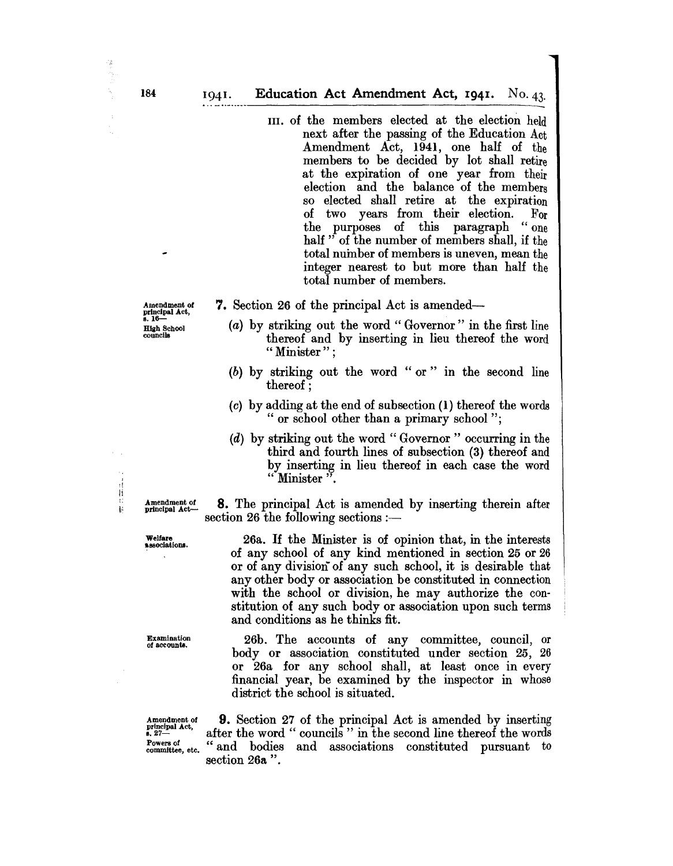III. of the members elected at the election held next after the passing of the Education Act Amendment Act, 1941, one half of the members to be decided by lot shall retire at the expiration of one year from their election and the balance of the members so elected shall retire at the expiration of two years from their election. For<br>the purposes of this paragraph "one the purposes of this paragraph half " of the number of members shall, if the total number of members is uneven, mean the integer nearest to but more than half the total number of members.

7. Section 26 of the principal Act is amended-

- (a) by striking out the word" Governor" in the first line thereof and by inserting in lieu thereof the word " Minister":
- (b) by striking out the word "or" in the second line thereof;
- (c) by adding at the end of subsection (1) thereof the words " or school other than a primary school ";
- (d) by striking out the word" Governor" occurring in the third and fourth lines of subsection (3) thereof and by inserting in lieu thereof in each case the word "Minister"

Amendment of 8. The principal Act is amended by inserting therein after section  $26$  the following sections :-

> 26a. If the Minister is of opinion that, in the interests of any school of any kind mentioned in section 25 or 26 or of any division of any such school, it is desirable that any other body or association be constituted in connection with the school or division, he may authorize the constitution of any such body or association upon such terms and conditions as he thinks fit.

> 26b. The accounts of any committee, council, or body or association constituted under section 25, 26 or 26a for any school shall, at least once in every financial year, be examined by the inspector in whose district the school is situated.

Amendment of **9.** Section 27 of the principal Act is amended by inserting principal Act, after the word "councils" in the second line thereof the words  $\frac{1}{27}$ <br>
Exercise the second interval of the words of the words  $\frac{1}{27}$ <br>
Equation of the second interval and the second interval and the second interval and the second interval and the second interval and the second Powers of etc. "and bodies and associations constituted pursuant to section 26a".

Amendment of principal Act, 8.16- High School<br>councils

 $\cdot$  : Ii L

> Welfare **associations.**

Examination<br>of accounts.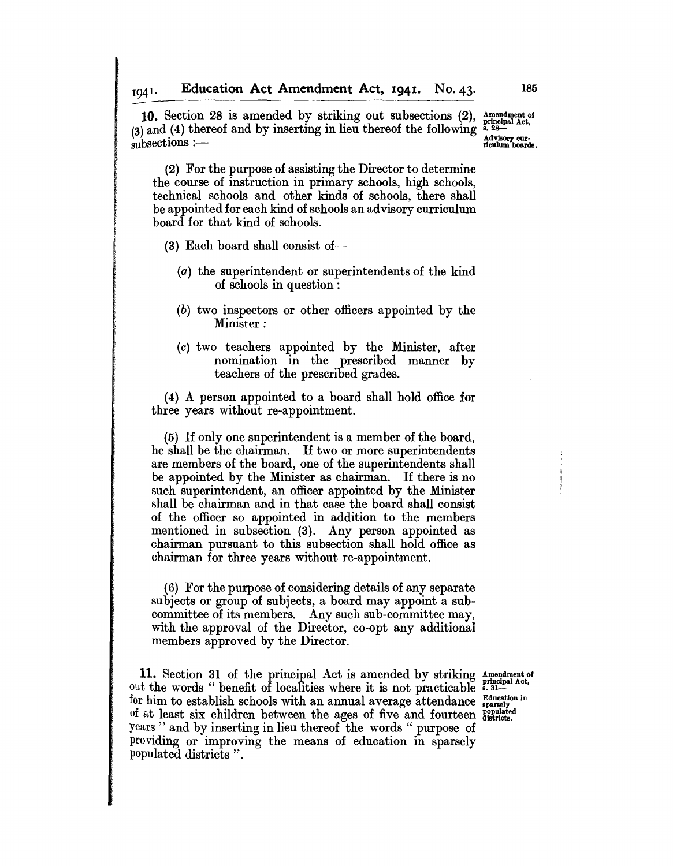**10.** Section 28 is amended by striking out subsections (2), Amendment of (3) and (4) thereof and by inserting in lieu thereof the following  $\frac{1}{2}$ . Advisory curriculum boards.

(2) For the purpose of assisting the Director to determine the course of instruction in primary schools, high schools, technical schools and other kinds of schools, there shall be appointed for each kind of schools an advisory curriculum board for that kind of schools.

(3) Each board shall consist of--

I

I !<br>!

- (a) the superintendent or superintendents of the kind of schools in question:
- (b) two inspectors or other officers appointed by the Minister:
- (c) two teachers appointed by the Minister, after nomination in the prescribed manner by teachers of the prescribed grades.

(4) A person appointed to a board shall hold office for three years without re-appointment.

(5) If only one superintendent is a member of the board, he shall be the chairman. If two or more superintendents are members of the board, one of the superintendents shall be appointed by the Minister as chairman. If there is no such superintendent, an officer appointed by the Minister shall be chairman and in that case the board shall consist of the officer so appointed in addition to the members mentioned in subsection (3). Any person appointed as chairman pursuant to this subsection shall hold office as chairman for three years without re-appointment.

(6) For the purpose of considering details of any separate subjects or group of subjects, a board may appoint a subcommittee of its members. Any such sub-committee may, with the approval of the Director, co-opt any additional members approved by the Director.

11. Section 31 of the principal Act is amended by striking Amendment of out the words "benefit of localities where it is not practicable .. 31for him to establish schools with an annual average attendance  $_{\text{sparsely}}^{\text{Education in}}$ of at least six children between the ages of five and fourteen  $_{0}^{bopulated}$ years " and by inserting in lieu thereof the words "purpose of providing or improving the means of education in sparsely populated districts".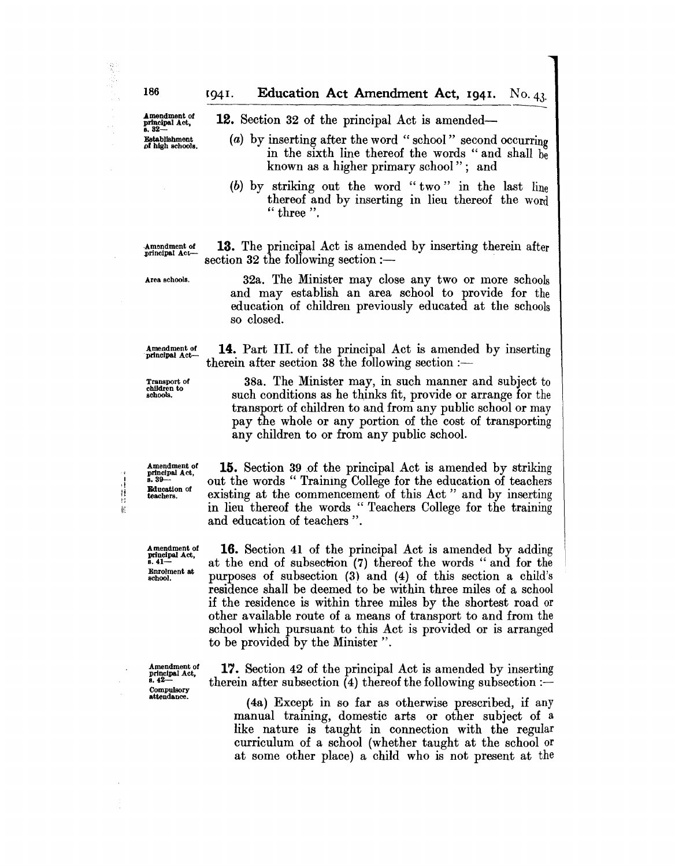**12.** Section 32 of the principal Act is amended-

- (a) by inserting after the word "school" second occurring in the sixth line thereof the words "and shall be known as a higher primary school"; and
- (b) by striking out the word "two" in the last line thereof and by inserting in lieu thereof the word " three ".

·Amendment of principal Act-

13. The principal Act is amended by inserting therein after section  $32$  the following section :-

Area schools.

32a. The Minister may close any two or more schools and may establish an area school to provide for the education of children previously educated at the schools so closed.

Amendment of 14. Part III. of the principal Act is amended by inserting principal Act therein after section  $38$  the following section :-

Transport of children to schools.

Amendment of principal Act,<br>s. 39— Education of teachers.

计技术 **I** 

> A mendment of principal Act. 8.41- Enrolment at school.

> Amendment of<br>principal Act,<br>s. 42---Compulsory attendance.

38a. The Minister may, in such manner and subject to such conditions as he thinks fit, provide or arrange for the transport of children to and from any public school or may pay the whole or any portion of the cost of transporting any children to or from any public school.

15. Section 39 of the principal Act is amended by striking out the words " Training College for the education of teachers existing at the commencement of this Act" and by inserting in lieu thereof the words "Teachers College for the training and education of teachers".

16. Section 41 of the principal Act is amended by adding at the end of subsection (7) thereof the words" and for the purposes of subsection (3) and (4) of this section a child's residence shall be deemed to be within three miles of a school if the residence is within three miles by the shortest road or other available route of a means of transport to and from the school which pursuant to this Act is provided or is arranged to be provided by the Minister ".

17. Section 42 of the principal Act is amended by inserting therein after subsection  $\overline{4}$ ) thereof the following subsection :-

(4a) Except in so far as otherwise prescribed, if any manual training, domestic arts or other subject of a like nature is taught in connection with the regular curriculum of a school (whether taught at the school or at some other place) a child who is not present at the

Amendment of principal Act, 8.32- Establishment pf high schools.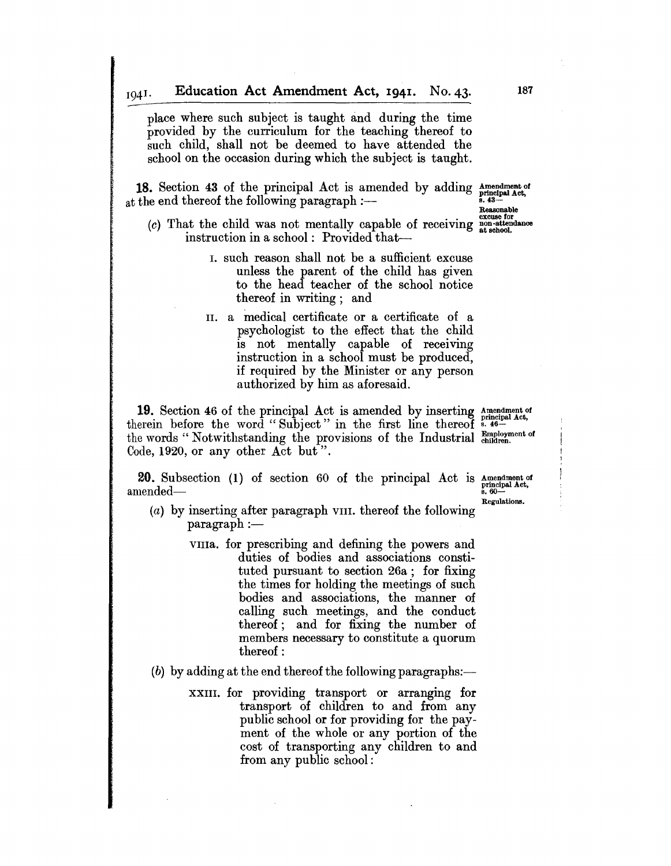place where such subject is taught and during the time provided by the curriculum for the teaching thereof to such child, shall not be deemed to have attended the school on the occasion during which the subject is taught.

**18.** Section 43 of the principal Act is amended by adding Amendment of at the end thereof the following paragraph  $\frac{1}{2}$   $\frac{1}{43}$  Reasonable

 $(c)$  That the child was not mentally capable of receiving  $\frac{1}{\text{mass of}}$  at  $\frac{1}{\text{mass of}}$  instruction in a school: Provided that--

- I. such reason shall not be a sufficient excuse unless the parent of the child has given to the head teacher of the school notice thereof in writing; and
- II. a medical certificate or a certificate of a psychologist to the effect that the child is not mentally capable of receiving instruction in a school must be produced, if required by the Minister or any person authorized by him as aforesaid.

**19.** Section 46 of the principal Act is amended by inserting Amendment of therein before the word "Subject" in the first line thereof s, 46the words "Notwithstanding the provisions of the Industrial Employment of Code, 1920, or any other Act but".

**20.** Subsection (1) of section 60 of the principal Act is  $\Delta t$  is  $\Delta t$  is amended— amended—

- Regulations, (a) by inserting after paragraph VIII. thereof the following  $\text{pargraph} :=$ 
	- VIlla. for prescribing and defining the powers and duties of bodies and associations constituted pursuant to section 26a; for fixing the times for holding the meetings of such bodies and associations, the manner of calling such meetings, and the conduct thereof; and for fixing the number of members necessary to constitute a quorum thereof:
- $(b)$  by adding at the end thereof the following paragraphs:---
	- XXIII. for providing transport or arranging for transport of children to and from any public school or for providing for the payment of the whole or any portion of the cost of transporting any children to and from any public school;